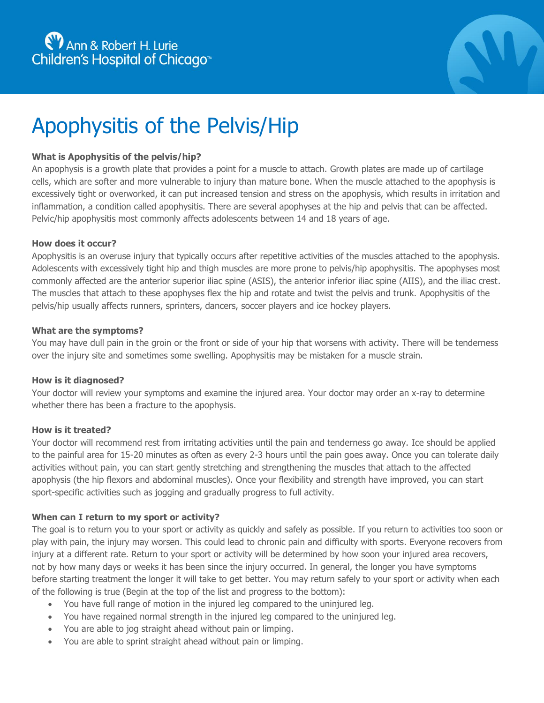

# Apophysitis of the Pelvis/Hip

## **What is Apophysitis of the pelvis/hip?**

An apophysis is a growth plate that provides a point for a muscle to attach. Growth plates are made up of cartilage cells, which are softer and more vulnerable to injury than mature bone. When the muscle attached to the apophysis is excessively tight or overworked, it can put increased tension and stress on the apophysis, which results in irritation and inflammation, a condition called apophysitis. There are several apophyses at the hip and pelvis that can be affected. Pelvic/hip apophysitis most commonly affects adolescents between 14 and 18 years of age.

#### **How does it occur?**

Apophysitis is an overuse injury that typically occurs after repetitive activities of the muscles attached to the apophysis. Adolescents with excessively tight hip and thigh muscles are more prone to pelvis/hip apophysitis. The apophyses most commonly affected are the anterior superior iliac spine (ASIS), the anterior inferior iliac spine (AIIS), and the iliac crest. The muscles that attach to these apophyses flex the hip and rotate and twist the pelvis and trunk. Apophysitis of the pelvis/hip usually affects runners, sprinters, dancers, soccer players and ice hockey players.

#### **What are the symptoms?**

You may have dull pain in the groin or the front or side of your hip that worsens with activity. There will be tenderness over the injury site and sometimes some swelling. Apophysitis may be mistaken for a muscle strain.

#### **How is it diagnosed?**

Your doctor will review your symptoms and examine the injured area. Your doctor may order an x-ray to determine whether there has been a fracture to the apophysis.

#### **How is it treated?**

Your doctor will recommend rest from irritating activities until the pain and tenderness go away. Ice should be applied to the painful area for 15-20 minutes as often as every 2-3 hours until the pain goes away. Once you can tolerate daily activities without pain, you can start gently stretching and strengthening the muscles that attach to the affected apophysis (the hip flexors and abdominal muscles). Once your flexibility and strength have improved, you can start sport-specific activities such as jogging and gradually progress to full activity.

#### **When can I return to my sport or activity?**

The goal is to return you to your sport or activity as quickly and safely as possible. If you return to activities too soon or play with pain, the injury may worsen. This could lead to chronic pain and difficulty with sports. Everyone recovers from injury at a different rate. Return to your sport or activity will be determined by how soon your injured area recovers, not by how many days or weeks it has been since the injury occurred. In general, the longer you have symptoms before starting treatment the longer it will take to get better. You may return safely to your sport or activity when each of the following is true (Begin at the top of the list and progress to the bottom):

- You have full range of motion in the injured leg compared to the uninjured leg.
- You have regained normal strength in the injured leg compared to the uninjured leg.
- You are able to jog straight ahead without pain or limping.
- You are able to sprint straight ahead without pain or limping.